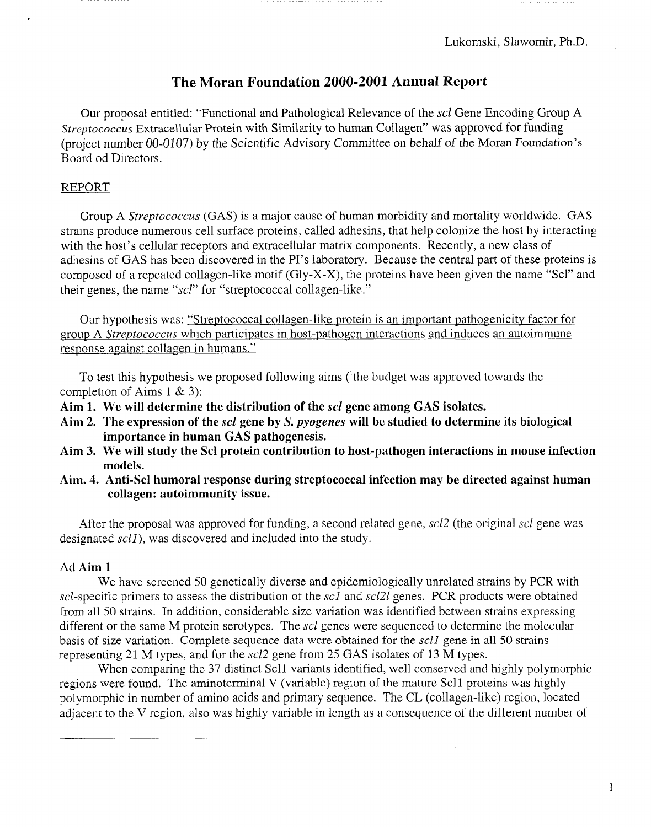# The Moran Foundation 2000-2001 Annual Report

Our proposal entitled: "Functional and Pathological Relevance of the *scl* Gene Encoding Group A *Streptococcus* Extracellular Protein with Similarity to human Collagen" was approved for funding (project number *00-0107)* by the Scientific Advisory *Committee* on behalf of the Moran Foundation's Board od Directors.

#### REPORT

Group A *Streptococcus* (GAS) is a major cause of human morbidity and mortality worldwide. GAS strains produce numerous cell surface proteins, called adhesins, that help colonize the host by interacting with the host's cellular receptors and extracellular matrix components. Recently, a new class of adhesins of GAS has been discovered in the PI's laboratory. Because the central part of these proteins is composed of a repeated collagen-like motif  $(Gly-X-X)$ , the proteins have been given the name "Scl" and their genes, the name *"scl"* for "streptococcal collagen-like."

Our hypothesis was: "Streptococcal collagen-like protein is an important pathogenicity factor for group A *Streptococcus* which participates in host-pathogen interactions and induces an autoimmune response against collagen in humans."

To test this hypothesis we proposed following aims  $(1)$ <sup>the</sup> budget was approved towards the completion of Aims  $1 \& 3$ :

- Aim 1. We will determine the distribution of the *scl* gene among GAS isolates.
- Aim 2. The expression of the *scl* gene by *S. pyogenes* will be studied to determine its biological importance in human GAS pathogenesis.
- Aim 3. We will study the Scl protein contribution to host-pathogen interactions in mouse infection models.
- Aim. 4. Anti-Scl humoral response during streptococcal infection may be directed against human collagen: autoimmunity issue.

After the proposal was approved for funding, a second related gene, *scl2* (the original *scl* gene was designated *sell),* was discovered and included into the study.

#### Ad Aim 1

We have screened 50 genetically diverse and epidemiologically unrelated strains by PCR with sel-specific primers to assess the distribution of the *sc1* and *sel21* genes. PCR products were obtained from all 50 strains. In addition, considerable size variation was identified between strains expressing different or the same M protein serotypes. The *sel* genes were sequenced to determine the molecular basis of size variation. Complete sequence data were obtained for the *sell* gene in all 50 strains representing 21 M types, and for the *sel2* gene from 25 GAS isolates of 13 M types.

When comparing the 37 distinct Sell variants identified, well conserved and highly polymorphic regions were found. The aminoterminal V (variable) region of the mature Sell proteins was highly polymorphic in number of amino acids and primary sequence. The CL (collagen-like) region, located adjacent to the V region, also was highly variable in length as a consequence of the different number of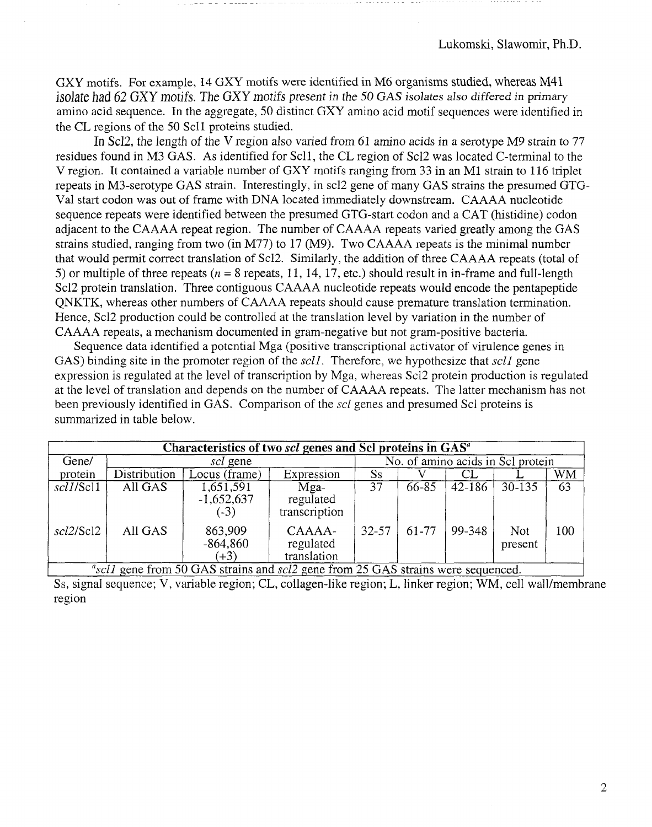GXY motifs. For example, 14 GXY motifs were identified in M6 organisms studied, whereas M41 isolate had 62 GXY motifs. The GXY motifs present in the 50 GAS isolates also differed in primary amino acid sequence. In the aggregate, 50 distinct GXY amino acid motif sequences were identified in the CL regions of the 50 Sell proteins studied.

In *Sel2,* the length of the V region also varied from 61 amino acids in a serotype M9 strain to 77 residues found in M3 GAS. As identified for Sell, the CL region of *Sel2* was located C-terminal to the V region. It contained a variable number of GXY motifs ranging from 33 in an M1 strain to 116 triplet repeats in M3-serotype GAS strain. Interestingly, in scl2 gene of many GAS strains the presumed GTG-Val start codon was out of frame with DNA located immediately downstream. CAAAA nucleotide sequence repeats were identified between the presumed GTG-start codon and a CAT (histidine) codon adjacent to the CAAAA repeat region. The number of CAAAA repeats varied greatly among the GAS strains studied, ranging from two (in M77) to 17 (M9). Two CAAAA repeats is the minimal number that would permit correct translation of Scl2. Similarly, the addition of three CAAAA repeats (total of 5) or multiple of three repeats ( $n = 8$  repeats, 11, 14, 17, etc.) should result in in-frame and full-length Sel2 protein translation. Three contiguous CAAAA nucleotide repeats would encode the pentapeptide QNKTK, whereas other numbers of CAAAA repeats should cause premature translation termination. Hence, Scl2 production could be controlled at the translation level by variation in the number of CAAAA repeats, a mechanism documented in gram-negative but not gram-positive bacteria.

Sequence data identified a potential Mga (positive transcriptional activator of virulence genes in GAS) binding site in the promoter region of the *sell.* Therefore, we hypothesize that *sell* gene expression is regulated at the level of transcription by Mga, whereas Sel2 protein production is regulated at the level of translation and depends on the number of CAAAA repeats. The latter mechanism has not been previously identified in GAS. Comparison of the *scl* genes and presumed Sel proteins is summarized in table below.

| Characteristics of two scl genes and Scl proteins in GAS <sup>a</sup> |                     |                                     |                                    |                                   |       |            |                       |     |
|-----------------------------------------------------------------------|---------------------|-------------------------------------|------------------------------------|-----------------------------------|-------|------------|-----------------------|-----|
| Gene/                                                                 | <i>scl</i> gene     |                                     |                                    | No. of amino acids in Scl protein |       |            |                       |     |
| protein                                                               | <b>Distribution</b> | Locus (frame)                       | Expression                         | Ss                                |       |            |                       | WM  |
| scl1/Scl1                                                             | All GAS             | 1,651,591<br>$-1,652,637$<br>$(-3)$ | Mga-<br>regulated<br>transcription | 37                                | 66-85 | $42 - 186$ | $30 - 135$            | 63  |
| scl2/Scl2                                                             | All GAS             | 863,909<br>$-864,860$<br>$(+3)$     | CAAAA-<br>regulated<br>translation | $32 - 57$                         | 61-77 | 99-348     | <b>Not</b><br>present | 100 |

<sup>2</sup>scll gene from 50 GAS strains and *scl2* gene from 25 GAS strains were sequenced.

Ss, signal sequence; V, variable region; CL, collagen-like region; L, linker region; WM, cell wall/membrane region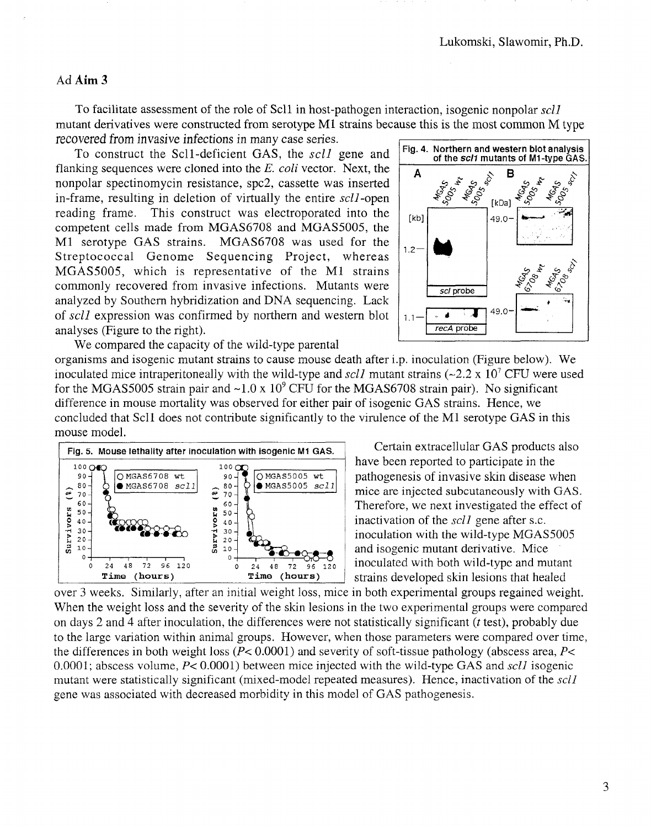## Ad Aim 3

To facilitate assessment of the role of Sell in host-pathogen interaction, isogenic nonpolar *sell* mutant derivatives were constructed from serotype Ml strains because this is the most common M type recovered from invasive infections in many case series.

To construct the Sell-deficient GAS, the *sell* gene and flanking sequences were cloned into the *E. eoli* vector. Next, the nonpolar spectinomycin resistance, spc2, cassette was inserted in-frame, resulting in deletion of virtually the entire *sell-open* reading frame. This construct was electroporated into the competent cells made from MGAS6708 and MGAS5005, the Ml serotype GAS strains. MGAS6708 was used for the  $\vert^{1.2}$ .<br>Streptococcal Genome Sequencing Project, whereas  $\vert^{1.2}$ . MGAS5005, which is representative of the Ml strains commonly recovered from invasive infections. Mutants were analyzed by Southern hybridization and DNA sequencing. Lack of *scll* expression was confirmed by northern and western blot analyses (Figure to the right).



We compared the capacity of the wild-type parental

organisms and isogenic mutant strains to cause mouse death after i.p. inoculation (Figure below). We inoculated mice intraperitoneally with the wild-type and *scll* mutant strains ( $\sim$ 2.2 x 10<sup>7</sup> CFU were used for the MGAS5005 strain pair and  $\sim 1.0 \times 10^9$  CFU for the MGAS6708 strain pair). No significant difference in mouse mortality was observed for either pair of isogenic GAS strains. Hence, we concluded that Sell does not contribute significantly to the virulence of the Ml serotype GAS in this mouse model.



over 3 weeks. Similarly, after an initial weight loss, mice in both experimental groups regained weight. When the weight loss and the severity of the skin lesions in the two experimental groups were compared on days 2 and 4 after inoculation, the differences were not statistically significant *(t* test), probably due to the large variation within animal groups. However, when those parameters were compared over time, the differences in both weight loss *(P<* 0.0001) and severity of soft-tissue pathology (abscess area, *P<* 0.0001; abscess volume, *P<*0.0001) between mice injected with the wild-type GAS and *sell* isogenic mutant were statistically significant (mixed-model repeated measures). Hence, inactivation of the *sell* gene was associated with decreased morbidity in this model of GAS pathogenesis.